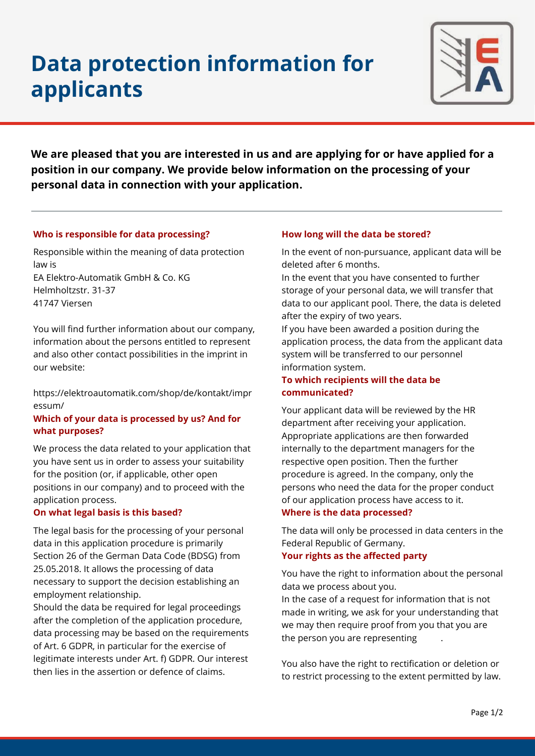# **Data protection information for applicants**



**We are pleased that you are interested in us and are applying for or have applied for a position in our company. We provide below information on the processing of your personal data in connection with your application.**

## **Who is responsible for data processing?**

Responsible within the meaning of data protection law is EA Elektro-Automatik GmbH & Co. KG Helmholtzstr. 31-37 41747 Viersen

You will find further information about our company, information about the persons entitled to represent and also other contact possibilities in the imprint in our website:

[https://elektroautomatik.com/shop/de/kontakt/impr](https://elektroautomatik.com/shop/de/kontakt/impressum/) [essum/](https://elektroautomatik.com/shop/de/kontakt/impressum/)

## **Which of your data is processed by us? And for what purposes?**

We process the data related to your application that you have sent us in order to assess your suitability for the position (or, if applicable, other open positions in our company) and to proceed with the application process.

## **On what legal basis is this based?**

The legal basis for the processing of your personal data in this application procedure is primarily Section 26 of the German Data Code (BDSG) from 25.05.2018. It allows the processing of data necessary to support the decision establishing an employment relationship.

Should the data be required for legal proceedings after the completion of the application procedure, data processing may be based on the requirements of Art. 6 GDPR, in particular for the exercise of legitimate interests under Art. f) GDPR. Our interest then lies in the assertion or defence of claims.

#### **How long will the data be stored?**

In the event of non-pursuance, applicant data will be deleted after 6 months.

In the event that you have consented to further storage of your personal data, we will transfer that data to our applicant pool. There, the data is deleted after the expiry of two years.

If you have been awarded a position during the application process, the data from the applicant data system will be transferred to our personnel information system.

## **To which recipients will the data be communicated?**

Your applicant data will be reviewed by the HR department after receiving your application. Appropriate applications are then forwarded internally to the department managers for the respective open position. Then the further procedure is agreed. In the company, only the persons who need the data for the proper conduct of our application process have access to it. **Where is the data processed?**

The data will only be processed in data centers in the Federal Republic of Germany.

## **Your rights as the affected party**

You have the right to information about the personal data we process about you.

In the case of a request for information that is not made in writing, we ask for your understanding that we may then require proof from you that you are the person you are representing

You also have the right to rectification or deletion or to restrict processing to the extent permitted by law.